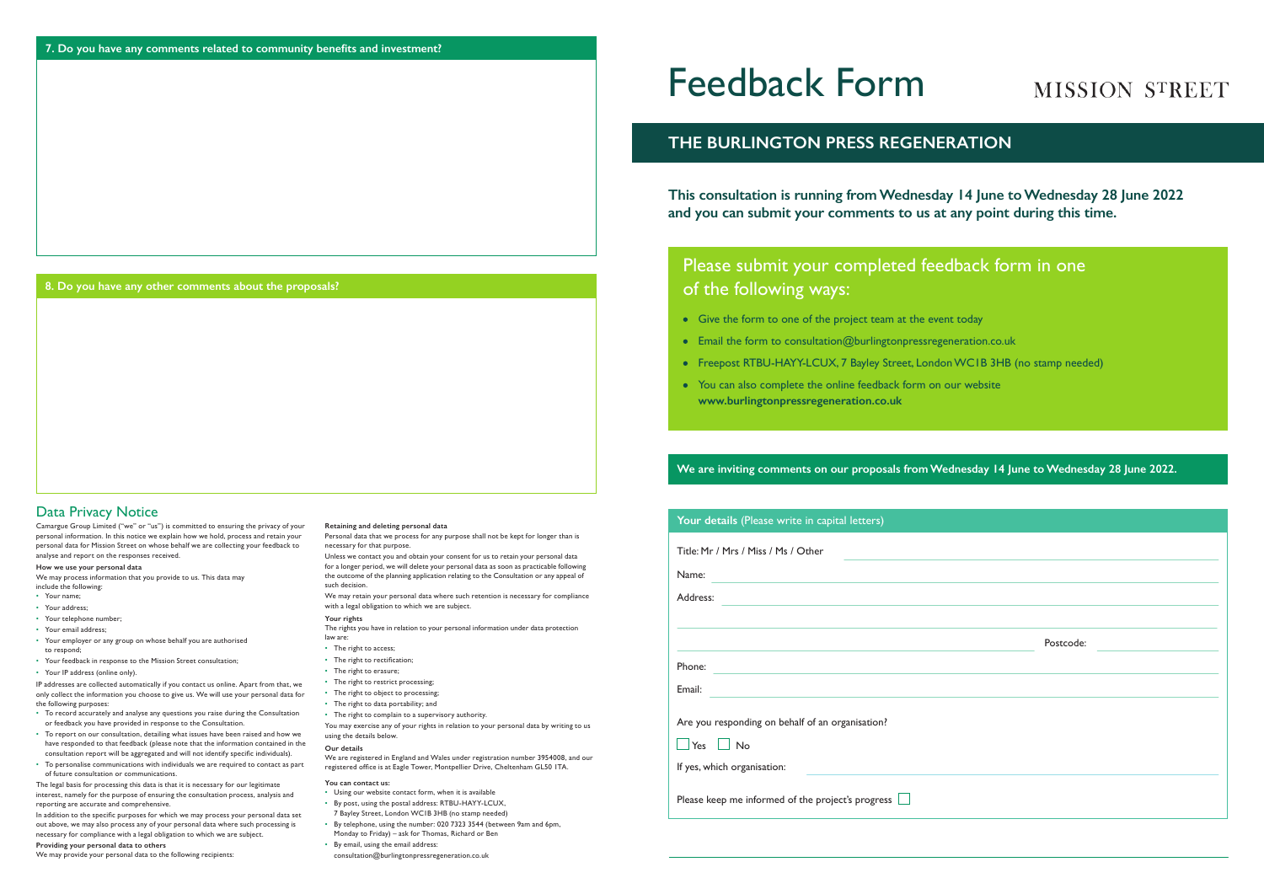# Data Privacy Notice

Camargue Group Limited ("we" or "us") is committed to ensuring the privacy of your personal information. In this notice we explain how we hold, process and retain your personal data for Mission Street on whose behalf we are collecting your feedback to analyse and report on the responses received.

### **How we use your personal data**

We may process information that you provide to us. This data may include the following:

- Your name;
- Your address;
- Your telephone number;
- Your email address;
- Your employer or any group on whose behalf you are authorised
- to respond; • Your feedback in response to the Mission Street consultation;
- Your IP address (online only).

IP addresses are collected automatically if you contact us online. Apart from that, we only collect the information you choose to give us. We will use your personal data for the following purposes:

- To record accurately and analyse any questions you raise during the Consultation or feedback you have provided in response to the Consultation.
- To report on our consultation, detailing what issues have been raised and how we have responded to that feedback (please note that the information contained in the consultation report will be aggregated and will not identify specific individuals).
- To personalise communications with individuals we are required to contact as part of future consultation or communications.
- The right to access;
- The right to rectification:
- The right to erasure;
- The right to restrict processing;
- The right to object to processing;
- The right to data portability; and
- The right to complain to a supervisory authority.

The legal basis for processing this data is that it is necessary for our legitimate interest, namely for the purpose of ensuring the consultation process, analysis and reporting are accurate and comprehensive.

In addition to the specific purposes for which we may process your personal data set out above, we may also process any of your personal data where such processing is necessary for compliance with a legal obligation to which we are subject.

## **Providing your personal data to others**

We may provide your personal data to the following recipients:

### **Retaining and deleting personal data**

Personal data that we process for any purpose shall not be kept for longer than is necessary for that purpose.

Unless we contact you and obtain your consent for us to retain your personal data for a longer period, we will delete your personal data as soon as practicable following the outcome of the planning application relating to the Consultation or any appeal of such decision.

We may retain your personal data where such retention is necessary for compliance with a legal obligation to which we are subject.

### **Your rights**

The rights you have in relation to your personal information under data protection law are:

You may exercise any of your rights in relation to your personal data by writing to us using the details below.

### **Our details**

We are registered in England and Wales under registration number 3954008, and our registered office is at Eagle Tower, Montpellier Drive, Cheltenham GL50 1TA.

### **You can contact us:**

- Using our website contact form, when it is available
- By post, using the postal address: RTBU-HAYY-LCUX,
- 7 Bayley Street, London WC1B 3HB (no stamp needed)
- By telephone, using the number: 020 7323 3544 (between 9am and 6pm, Monday to Friday) – ask for Thomas, Richard or Ben
- By email, using the email address:

consultation@burlingtonpressregeneration.co.uk

| Your details (Please write in capital letters)           |           |
|----------------------------------------------------------|-----------|
| Title: Mr / Mrs / Miss / Ms / Other                      |           |
| Name:                                                    |           |
| Address:                                                 |           |
|                                                          |           |
|                                                          | Postcode: |
| Phone:                                                   |           |
| Email:                                                   |           |
| Are you responding on behalf of an organisation?         |           |
| $\Box$ Yes $\Box$ No                                     |           |
| If yes, which organisation:                              |           |
| Please keep me informed of the project's progress $\Box$ |           |

# MISSION STREET

- 
- 

# Feedback Form

**This consultation is running from Wednesday 14 June to Wednesday 28 June 2022 and you can submit your comments to us at any point during this time.**

# **THE BURLINGTON PRESS REGENERATION**

# Please submit your completed feedback form in one of the following ways:

- Give the form to one of the project team at the event today
- Email the form to consultation@burlingtonpressregeneration.co.uk
- Freepost RTBU-HAYY-LCUX, 7 Bayley Street, London WC1B 3HB (no stamp needed)
- You can also complete the online feedback form on our website **www.burlingtonpressregeneration.co.uk**

# **We are inviting comments on our proposals from Wednesday 14 June to Wednesday 28 June 2022.**

## **8. Do you have any other comments about the proposals?**